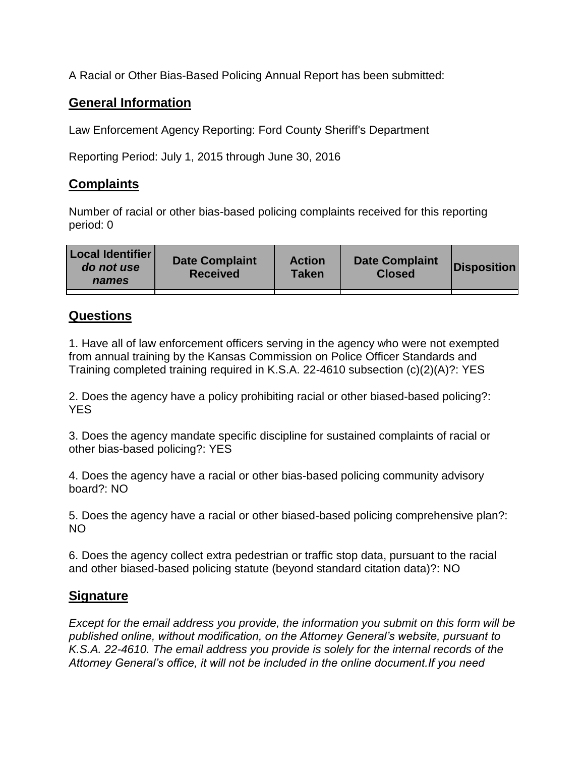A Racial or Other Bias-Based Policing Annual Report has been submitted:

## **General Information**

Law Enforcement Agency Reporting: Ford County Sheriff's Department

Reporting Period: July 1, 2015 through June 30, 2016

## **Complaints**

Number of racial or other bias-based policing complaints received for this reporting period: 0

| <b>Local Identifier</b><br>do not use<br>names | <b>Date Complaint</b><br><b>Received</b> | <b>Action</b><br><b>Taken</b> | <b>Date Complaint</b><br><b>Closed</b> | Disposition |
|------------------------------------------------|------------------------------------------|-------------------------------|----------------------------------------|-------------|
|                                                |                                          |                               |                                        |             |

## **Questions**

1. Have all of law enforcement officers serving in the agency who were not exempted from annual training by the Kansas Commission on Police Officer Standards and Training completed training required in K.S.A. 22-4610 subsection (c)(2)(A)?: YES

2. Does the agency have a policy prohibiting racial or other biased-based policing?: YES

3. Does the agency mandate specific discipline for sustained complaints of racial or other bias-based policing?: YES

4. Does the agency have a racial or other bias-based policing community advisory board?: NO

5. Does the agency have a racial or other biased-based policing comprehensive plan?: NO

6. Does the agency collect extra pedestrian or traffic stop data, pursuant to the racial and other biased-based policing statute (beyond standard citation data)?: NO

## **Signature**

*Except for the email address you provide, the information you submit on this form will be published online, without modification, on the Attorney General's website, pursuant to K.S.A. 22-4610. The email address you provide is solely for the internal records of the Attorney General's office, it will not be included in the online document.If you need*